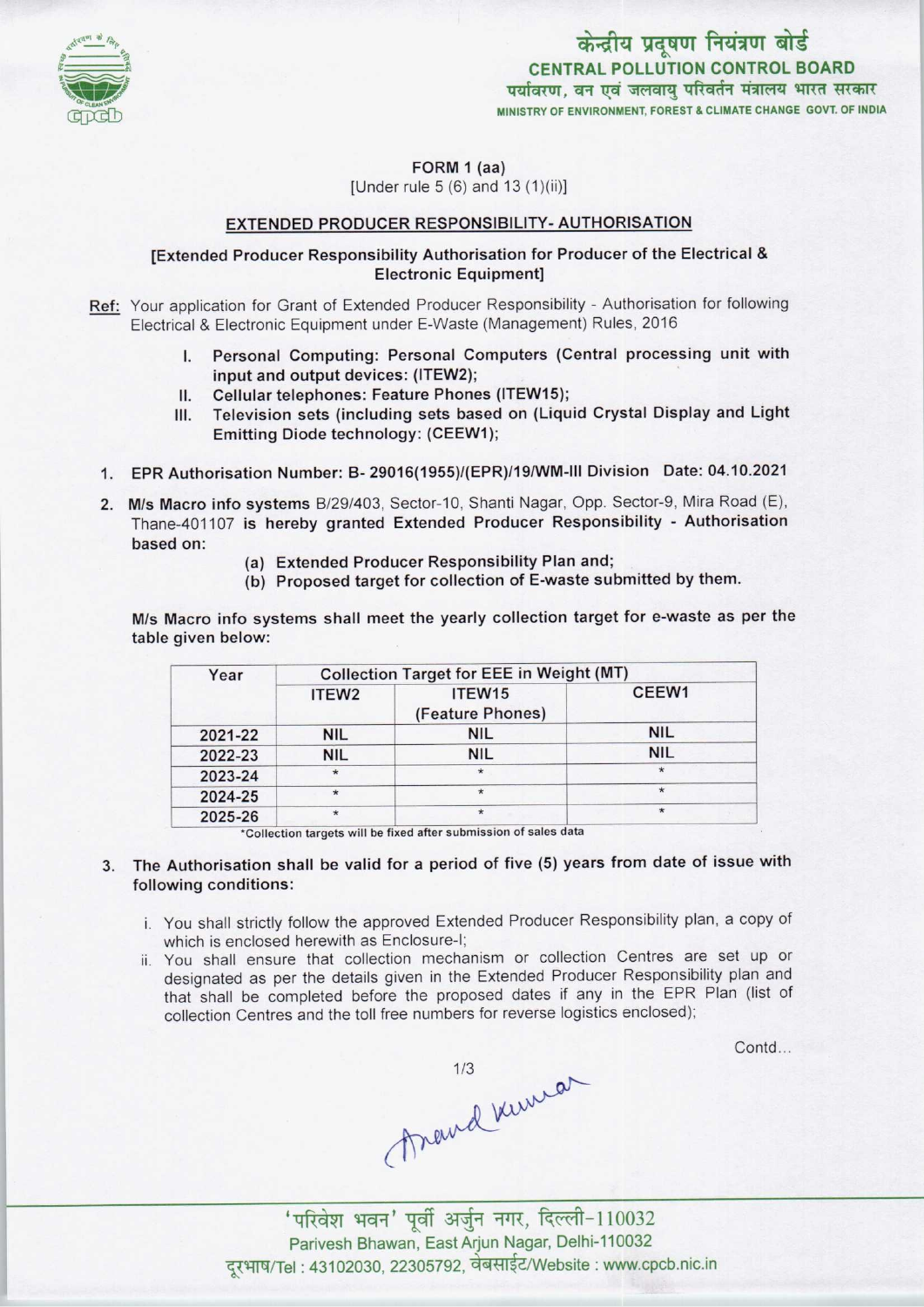

केन्द्रीय प्रदूषण नियंत्रण बोर्ड CENTRAL POLLUTION CONTROL BOARD पर्यावरण, वन एवं जलवाय परिवर्तन मंत्रालय भारत सरकार MINISTRY OF ENVIRONMENT, FOREST & CLIMATE CHANGE GOVT. OF INDIA

FORM 1 (aa)

[Under rule 5 (6) and 13 (1)(ii)]

#### EXTENDED PRODUCER RESPONSIBILITY-AUTHORISATION

#### [Extended Producer Responsibility Authorisation for Producer of the Electrical & Electronic Equipment]

- Ref: Your application for Grant of Extended Producer Responsibility Authorisation for following Electrical & Electronic Equipment under E-Waste (Management) Rules, 2016
	- I. Personal Computing: Personal Computers (Central processing unit with input and output devices: (ITEW2);
	- II. Cellular telephones: Feature Phones (ITEW15);<br>III. Television sets (including sets based on (Liqu
	- Television sets (including sets based on (Liquid Crystal Display and Light Emitting Diode technology: (CEEW1);
	- 1. EPR Authorisation Number: B- 29016(1955)/(EPR)/19/WM-lll Division Date: 04.10.2021
	- 2. M/s Macro info systems B/29/403, Sector-10, Shanti Nagar, Opp. Sector-9, Mira Road (E) Thane-401107 is hereby granted Extended Producer Responsibility - Authorisation based on:
		- (a)Extended Producer Responsibility Plan and;
		- (b) Proposed target for collection of E-waste submitted by them.

M/s Macro info systems shall meet the yearly collection target for e-waste as per the table given below:

| Year    | <b>Collection Target for EEE in Weight (MT)</b> |                            |                   |
|---------|-------------------------------------------------|----------------------------|-------------------|
|         | ITEW <sub>2</sub>                               | ITEW15<br>(Feature Phones) | CEEW <sub>1</sub> |
| 2021-22 | <b>NIL</b>                                      | <b>NIL</b>                 | <b>NIL</b>        |
| 2022-23 | <b>NIL</b>                                      | <b>NIL</b>                 | <b>NIL</b>        |
| 2023-24 | $\star$                                         | $\star$                    | $\star$           |
| 2024-25 | $\star$                                         | $\star$                    | $\star$           |
| 2025-26 | $\star$                                         | $\star$                    | $\star$           |

\*Collection targets will be fixed after submission of sales data

- 3. The Authorisation shall be valid for a period of five (5) years from date of issue with following conditions:
	- i. You shall strictly follow the approved Extended Producer Responsibility plan, a copy of which is enclosed herewith as Enclosure-I;
	- ii. You shall ensure that collection mechanism or collection Centres are set up or designated as per the details given in the Extended Producer Responsibility plan and that shall be completed before the proposed dates if any in the EPR Plan (list of collection Centres and the toll free numbers for reverse logistics enclosed);

Contd...

thand kins

'परिवेश भवन' पूर्वी अर्जुन नगर, दिल्ली-110032 Parivesh Bhawan, EastArjun Nagar, Delhi-110032 दरभाष/Tel: 43102030, 22305792, वेबसाईट/Website : www.cpcb.nic.in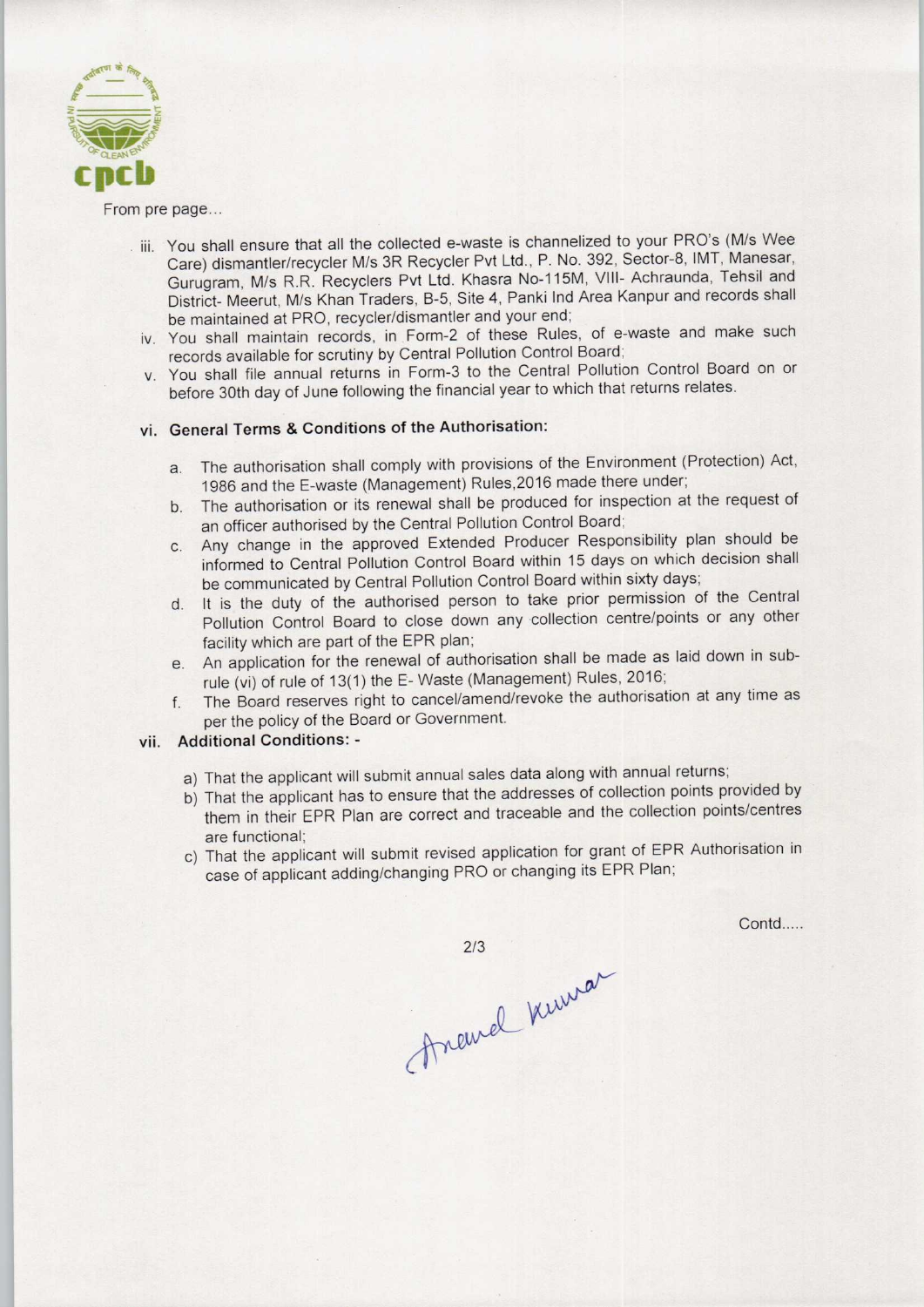

From pre page...

- iii. You shall ensure that all the collected e-waste is channelized to your PRO's (M/s Wee Care) dismantler/recycler M/s 3R Recycler Pvt Ltd., P. No. 392, Sector-8, IMT, Manesar, Gurugram, M/s R.R. Recyclers Pvt Ltd. Khasra N0-115M, VIII- Achraunda, Tehsil and District- Meerut, M/s Khan Traders, B-5, Site 4, Panki Ind Area Kanpur and records shall be maintained at PRO, recycler/dismantler and your end;
- iv. You shall maintain records, in Form-2 of these Rules, of e-waste and make such records available for scrutiny by Central Pollution Control Board;
- v. You shall file annual returns in Form-3 to the Central Pollution Control Board on or before 30th day of June following the financial year to which that returns relates.

## vi. General Terms & Conditions of the Authorisation:

- a.The authorisation shall comply with provisions of the Environment (Protection) Act, 1986 and the E-waste (Management) Rules,2016 made there under;
- b. The authorisation or its renewal shall be produced for inspection at the request of an officer authorised by the Central Pollution Control Board;
- c.Any change in the approved Extended Producer Responsibility plan should be informed to Central Pollution Control Board within 15 days on which decision shall be communicated by Central Pollution Control Board within sixty days;
- d. It is the duty of the authorised person to take prior permission of the Central Pollution Control Board to close down any collection centre/points or any other facility which are part of the EPR plan;
- e.An application for the renewal of authorisation shall be made aslaid down in subrule (vi) of rule of 13(1) the E- Waste (Management) Rules, 2016;
- f. The Board reserves right to cancel/amend/revoke the authorisation at any time as per the policy of the Board or Government.

# vii. Additional Conditions: -

- a) That the applicant will submit annual sales data along with annual returns;
- b) That the applicant has to ensure that the addresses of collection points provided by them in their EPR Plan are correct and traceable and the collection points/centres are functional;
- c) That the applicant will submit revised application for grant of EPR Authorisation in case of applicant adding/changing PRO or changing its EPR Plan;

Contd.....

213<br>Anewel Kurran